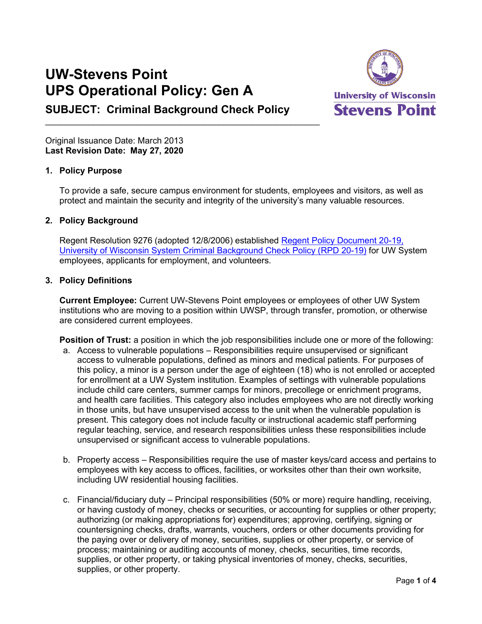# **UW-Stevens Point UPS Operational Policy: Gen A**



**SUBJECT: Criminal Background Check Policy**

 $\_$  , and the set of the set of the set of the set of the set of the set of the set of the set of the set of the set of the set of the set of the set of the set of the set of the set of the set of the set of the set of th

Original Issuance Date: March 2013 **Last Revision Date: May 27, 2020**

# **1. Policy Purpose**

To provide a safe, secure campus environment for students, employees and visitors, as well as protect and maintain the security and integrity of the university's many valuable resources.

### **2. Policy Background**

Regent Resolution 9276 (adopted 12/8/2006) established [Regent Policy Document 20-19,](https://www.wisconsin.edu/regents/policies/university-of-wisconsin-system-criminal-background-check-policy/)  [University of Wisconsin System Criminal Background Check Policy \(RPD 20-19\)](https://www.wisconsin.edu/regents/policies/university-of-wisconsin-system-criminal-background-check-policy/) for UW System employees, applicants for employment, and volunteers.

# **3. Policy Definitions**

**Current Employee:** Current UW-Stevens Point employees or employees of other UW System institutions who are moving to a position within UWSP, through transfer, promotion, or otherwise are considered current employees.

**Position of Trust:** a position in which the job responsibilities include one or more of the following:

- a. Access to vulnerable populations Responsibilities require unsupervised or significant access to vulnerable populations, defined as minors and medical patients. For purposes of this policy, a minor is a person under the age of eighteen (18) who is not enrolled or accepted for enrollment at a UW System institution. Examples of settings with vulnerable populations include child care centers, summer camps for minors, precollege or enrichment programs, and health care facilities. This category also includes employees who are not directly working in those units, but have unsupervised access to the unit when the vulnerable population is present. This category does not include faculty or instructional academic staff performing regular teaching, service, and research responsibilities unless these responsibilities include unsupervised or significant access to vulnerable populations.
- b. Property access Responsibilities require the use of master keys/card access and pertains to employees with key access to offices, facilities, or worksites other than their own worksite, including UW residential housing facilities.
- c. Financial/fiduciary duty Principal responsibilities (50% or more) require handling, receiving, or having custody of money, checks or securities, or accounting for supplies or other property; authorizing (or making appropriations for) expenditures; approving, certifying, signing or countersigning checks, drafts, warrants, vouchers, orders or other documents providing for the paying over or delivery of money, securities, supplies or other property, or service of process; maintaining or auditing accounts of money, checks, securities, time records, supplies, or other property, or taking physical inventories of money, checks, securities, supplies, or other property.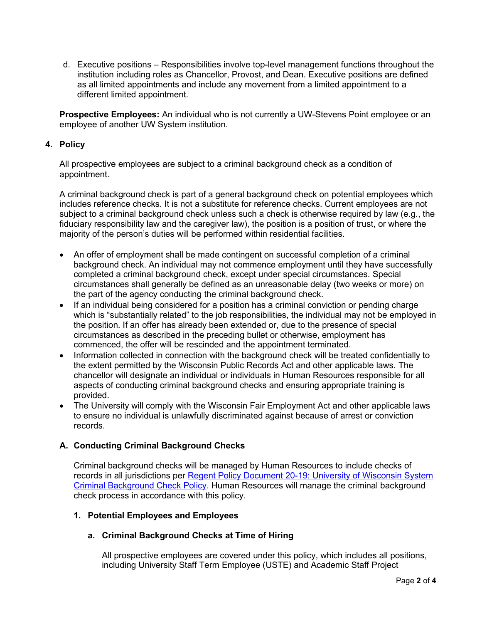d. Executive positions – Responsibilities involve top-level management functions throughout the institution including roles as Chancellor, Provost, and Dean. Executive positions are defined as all limited appointments and include any movement from a limited appointment to a different limited appointment.

**Prospective Employees:** An individual who is not currently a UW-Stevens Point employee or an employee of another UW System institution.

### **4. Policy**

All prospective employees are subject to a criminal background check as a condition of appointment.

A criminal background check is part of a general background check on potential employees which includes reference checks. It is not a substitute for reference checks. Current employees are not subject to a criminal background check unless such a check is otherwise required by law (e.g., the fiduciary responsibility law and the caregiver law), the position is a position of trust, or where the majority of the person's duties will be performed within residential facilities.

- An offer of employment shall be made contingent on successful completion of a criminal background check. An individual may not commence employment until they have successfully completed a criminal background check, except under special circumstances. Special circumstances shall generally be defined as an unreasonable delay (two weeks or more) on the part of the agency conducting the criminal background check.
- If an individual being considered for a position has a criminal conviction or pending charge which is "substantially related" to the job responsibilities, the individual may not be employed in the position. If an offer has already been extended or, due to the presence of special circumstances as described in the preceding bullet or otherwise, employment has commenced, the offer will be rescinded and the appointment terminated.
- Information collected in connection with the background check will be treated confidentially to the extent permitted by the Wisconsin Public Records Act and other applicable laws. The chancellor will designate an individual or individuals in Human Resources responsible for all aspects of conducting criminal background checks and ensuring appropriate training is provided.
- The University will comply with the Wisconsin Fair Employment Act and other applicable laws to ensure no individual is unlawfully discriminated against because of arrest or conviction records.

### **A. Conducting Criminal Background Checks**

Criminal background checks will be managed by Human Resources to include checks of records in all jurisdictions per [Regent Policy Document 20-19: University of Wisconsin System](https://www.wisconsin.edu/regents/policies/university-of-wisconsin-system-criminal-background-check-policy/)  [Criminal Background Check Policy.](https://www.wisconsin.edu/regents/policies/university-of-wisconsin-system-criminal-background-check-policy/) Human Resources will manage the criminal background check process in accordance with this policy.

#### **1. Potential Employees and Employees**

### **a. Criminal Background Checks at Time of Hiring**

All prospective employees are covered under this policy, which includes all positions, including University Staff Term Employee (USTE) and Academic Staff Project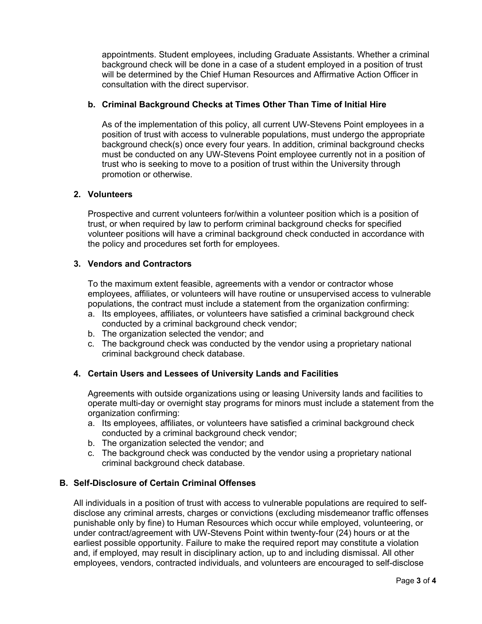appointments. Student employees, including Graduate Assistants. Whether a criminal background check will be done in a case of a student employed in a position of trust will be determined by the Chief Human Resources and Affirmative Action Officer in consultation with the direct supervisor.

#### **b. Criminal Background Checks at Times Other Than Time of Initial Hire**

As of the implementation of this policy, all current UW-Stevens Point employees in a position of trust with access to vulnerable populations, must undergo the appropriate background check(s) once every four years. In addition, criminal background checks must be conducted on any UW-Stevens Point employee currently not in a position of trust who is seeking to move to a position of trust within the University through promotion or otherwise.

#### **2. Volunteers**

Prospective and current volunteers for/within a volunteer position which is a position of trust, or when required by law to perform criminal background checks for specified volunteer positions will have a criminal background check conducted in accordance with the policy and procedures set forth for employees.

#### **3. Vendors and Contractors**

To the maximum extent feasible, agreements with a vendor or contractor whose employees, affiliates, or volunteers will have routine or unsupervised access to vulnerable populations, the contract must include a statement from the organization confirming:

- a. Its employees, affiliates, or volunteers have satisfied a criminal background check conducted by a criminal background check vendor;
- b. The organization selected the vendor; and
- c. The background check was conducted by the vendor using a proprietary national criminal background check database.

### **4. Certain Users and Lessees of University Lands and Facilities**

Agreements with outside organizations using or leasing University lands and facilities to operate multi-day or overnight stay programs for minors must include a statement from the organization confirming:

- a. Its employees, affiliates, or volunteers have satisfied a criminal background check conducted by a criminal background check vendor;
- b. The organization selected the vendor; and
- c. The background check was conducted by the vendor using a proprietary national criminal background check database.

### **B. Self-Disclosure of Certain Criminal Offenses**

All individuals in a position of trust with access to vulnerable populations are required to selfdisclose any criminal arrests, charges or convictions (excluding misdemeanor traffic offenses punishable only by fine) to Human Resources which occur while employed, volunteering, or under contract/agreement with UW-Stevens Point within twenty-four (24) hours or at the earliest possible opportunity. Failure to make the required report may constitute a violation and, if employed, may result in disciplinary action, up to and including dismissal. All other employees, vendors, contracted individuals, and volunteers are encouraged to self-disclose